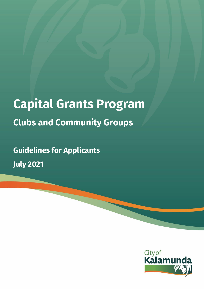# **Capital Grants Program Clubs and Community Groups**

**Guidelines for Applicants July 2021**

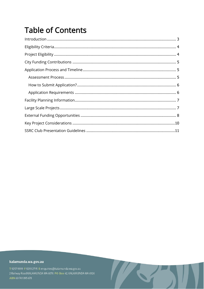# **Table of Contents**

#### kalamunda.wa.gov.au

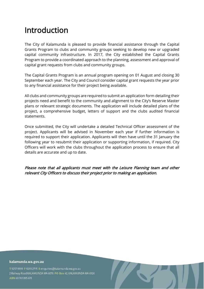### <span id="page-2-0"></span>Introduction

The City of Kalamunda is pleased to provide financial assistance through the Capital Grants Program to clubs and community groups seeking to develop new or upgraded capital community infrastructure. In 2017, the City established the Capital Grants Program to provide a coordinated approach to the planning, assessment and approval of capital grant requests from clubs and community groups.

The Capital Grants Program is an annual program opening on 01 August and closing 30 September each year. The City and Council consider capital grant requests the year prior to any financial assistance for their project being available.

All clubs and community groups are required to submit an application form detailing their projects need and benefit to the community and alignment to the City's Reserve Master plans or relevant strategic documents. The application will include detailed plans of the project, a comprehensive budget, letters of support and the clubs audited financial statements.

Once submitted, the City will undertake a detailed Technical Officer assessment of the project. Applicants will be advised in November each year if further information is required to support their application. Applicants will then have until the 31 January the following year to resubmit their application or supporting information, if required. City Officers will work with the clubs throughout the application process to ensure that all details are accurate and up to date.

Please note that all applicants must meet with the Leisure Planning team and other relevant City Officers to discuss their project prior to making an application.

kalamunda.wa.gov.au

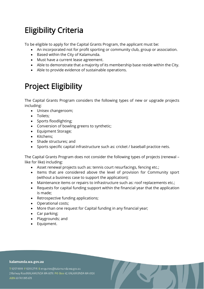# <span id="page-3-0"></span>Eligibility Criteria

To be eligible to apply for the Capital Grants Program, the applicant must be:

- An incorporated not for profit sporting or community club, group or association.
- Based within the City of Kalamunda.
- Must have a current lease agreement.
- Able to demonstrate that a majority of its membership base reside within the City.
- <span id="page-3-1"></span>• Able to provide evidence of sustainable operations.

# Project Eligibility

The Capital Grants Program considers the following types of new or upgrade projects including:

- Unisex changeroom;
- Toilets;
- Sports floodlighting;
- Conversion of bowling greens to synthetic;
- Equipment Storage;
- Kitchens;
- Shade structures; and
- Sports specific capital infrastructure such as: cricket / baseball practice nets.

The Capital Grants Program does not consider the following types of projects (renewal – like for like) including:

- Asset renewal projects such as: tennis court resurfacings, fencing etc.;
- Items that are considered above the level of provision for Community sport (without a business case to support the application);
- Maintenance items or repairs to infrastructure such as: roof replacements etc.;
- Requests for capital funding support within the financial year that the application is made;
- Retrospective funding applications;
- Operational costs;
- More than one request for Capital funding in any financial year;
- Car parking;
- Playgrounds; and
- Equipment.

#### kalamunda.wa.gov.au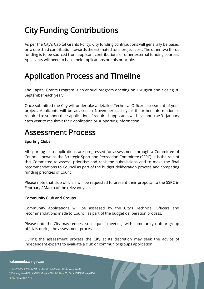# <span id="page-4-0"></span>City Funding Contributions

As per the City's Capital Grants Policy, City funding contributions will generally be based on a one third contribution towards the estimated total project cost. The other two thirds funding is to be sourced from applicant contributions or other external funding sources. Applicants will need to base their applications on this principle.

### <span id="page-4-1"></span>Application Process and Timeline

The Capital Grants Program is an annual program opening on 1 August and closing 30 September each year.

Once submitted the City will undertake a detailed Technical Officer assessment of your project. Applicants will be advised in November each year if further information is required to support their application. If required, applicants will have until the 31 January each year to resubmit their application or supporting information.

### <span id="page-4-2"></span>Assessment Process

### Sporting Clubs

All sporting club applications are progressed for assessment through a Committee of Council, known as the Strategic Sport and Recreation Committee (SSRC). It is the role of this Committee to assess, prioritise and rank the submissions and to make the final recommendations to Council as part of the budget deliberation process and competing funding priorities of Council.

Please note that club officials will be requested to present their proposal to the SSRC in February / March of the relevant year.

#### Community Club and Groups

Community applications will be assessed by the City's Technical Officers and recommendations made to Council as part of the budget deliberation process.

Please note the City may request subsequent meetings with community club or group officials during the assessment process.

During the assessment process the City at its discretion may seek the advice of independent experts to evaluate a club or community groups application.

#### kalamunda.wa.gov.au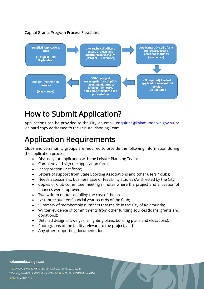#### Capital Grants Program Process Flowchart



### <span id="page-5-0"></span>How to Submit Application?

Applications can be provided to the City via email: [enquiries@kalamunda.wa.gov.au](mailto:enquiries@kalamunda.wa.gov.au) or via hard copy addressed to the Leisure Planning Team.

### <span id="page-5-1"></span>Application Requirements

Clubs and community groups are required to provide the following information during the application process:

- Discuss your application with the Leisure Planning Team;
- Complete and sign the application form;
- Incorporation Certificate;
- Letters of support from State Sporting Associations and other users / clubs;
- Needs assessment, business case or feasibility studies (As directed by the City);
- Copies of Club committee meeting minutes where the project and allocation of finances were approved;
- Two written quotes detailing the cost of the project;
- Last three audited financial year records of the Club;
- Summary of membership numbers that reside in the City of Kalamunda;
- Written evidence of commitments from other funding sources (loans, grants and donations);
- Detailed design drawings (i.e. lighting plans, building plans and elevations);
- Photographs of the facility relevant to the project; and
- Any other supporting documentation.

#### kalamunda.wa.gov.au

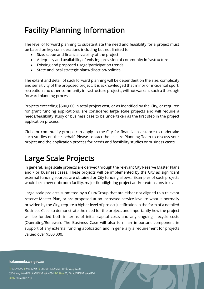# <span id="page-6-0"></span>Facility Planning Information

The level of forward planning to substantiate the need and feasibility for a project must be based on key considerations including but not limited to:

- Size, scope and financial viability of the project.
- Adequacy and availability of existing provision of community infrastructure.
- Existing and proposed usage/participation trends.
- State and local strategic plans/direction/policies.

The extent and detail of such forward planning will be dependent on the size, complexity and sensitivity of the proposed project. It is acknowledged that minor or incidental sport, recreation and other community infrastructure projects, will not warrant such a thorough forward planning process.

Projects exceeding \$500,000 in total project cost, or as identified by the City, or required for grant funding applications, are considered large scale projects and will require a needs/feasibility study or business case to be undertaken as the first step in the project application process.

Clubs or community groups can apply to the City for financial assistance to undertake such studies on their behalf. Please contact the Leisure Planning Team to discuss your project and the application process for needs and feasibility studies or business cases.

### <span id="page-6-1"></span>Large Scale Projects

In general, large scale projects are derived through the relevant City Reserve Master Plans and / or business cases. These projects will be implemented by the City as significant external funding sources are obtained or City funding allows. Examples of such projects would be; a new clubroom facility, major floodlighting project and/or extensions to ovals.

Large scale projects submitted by a Club/Group that are either not aligned to a relevant reserve Master Plan, or are proposed at an increased service level to what is normally provided by the City, require a higher level of project justification in the form of a detailed Business Case, to demonstrate the need for the project, and importantly how the project will be funded both in terms of initial capital costs and any ongoing lifecycle costs (Operating/Renewal). The Business Case will also form an important component in support of any external funding application and in generally a requirement for projects valued over \$500,000.

kalamunda.wa.gov.au

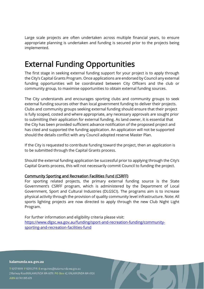Large scale projects are often undertaken across multiple financial years, to ensure appropriate planning is undertaken and funding is secured prior to the projects being implemented.

### <span id="page-7-0"></span>External Funding Opportunities

The first stage in seeking external funding support for your project is to apply through the City's Capital Grants Program. Once applications are endorsed by Council any external funding opportunities will be coordinated between City Officers and the club or community group, to maximise opportunities to obtain external funding sources.

The City understands and encourages sporting clubs and community groups to seek external funding sources other than local government funding to deliver their projects. Clubs and community groups seeking external funding should ensure that their project is fully scoped, costed and where appropriate, any necessary approvals are sought prior to submitting their application for external funding. As land owner, it is essential that the City has been provided sufficient advance notification of the proposed project and has cited and supported the funding application. An application will not be supported should the details conflict with any Council adopted reserve Master Plan.

If the City is requested to contribute funding toward the project, then an application is to be submitted through the Capital Grants process.

Should the external funding application be successful prior to applying through the City's Capital Grants process, this will not necessarily commit Council to funding the project.

#### Community Sporting and Recreation Facilities Fund (CSRFF)

For sporting related projects, the primary external funding source is the State Government's CSRFF program, which is administered by the Department of Local Government, Sport and Cultural Industries (DLGSCI). The programs aim is to increase physical activity through the provision of quality community level infrastructure. Note: All sports lighting projects are now directed to apply through the new Club Night Light Program.

For further information and eligibility criteria please visit: [https://www.dlgsc.wa.gov.au/funding/sport-and-recreation-funding/community](https://www.dlgsc.wa.gov.au/funding/sport-and-recreation-funding/community-sporting-and-recreation-facilities-fund)[sporting-and-recreation-facilities-fund](https://www.dlgsc.wa.gov.au/funding/sport-and-recreation-funding/community-sporting-and-recreation-facilities-fund)

#### kalamunda.wa.gov.au

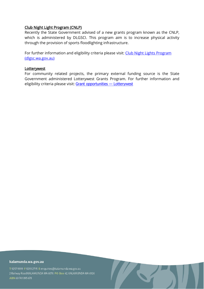#### Club Night Light Program (CNLP)

Recently the State Government advised of a new grants program known as the CNLP, which is administered by DLGSCI. This program aim is to increase physical activity through the provision of sports floodlighting infrastructure.

For further information and eligibility criteria please visit: Club Night Lights Program [\(dlgsc.wa.gov.au\)](https://www.dlgsc.wa.gov.au/funding/sport-and-recreation-funding/club-night-lights-program)

#### **Lotterywest**

For community related projects, the primary external funding source is the State Government administered Lotterywest Grants Program. For further information and eligibility criteria please visit: [Grant opportunities](https://www.lotterywest.wa.gov.au/grants/grant-opportunities) - Lotterywest

#### kalamunda.wa.gov.au

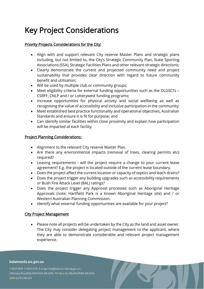## <span id="page-9-0"></span>Key Project Considerations

### Priority Projects Considerations for the City:

- Align with and support relevant City reserve Master Plans and strategic plans including, but not limited to, the City's Strategic Community Plan, State Sporting Associations (SSA), Strategic Facilities Plans and other relevant strategic directions;
- Clearly demonstrate the current and projected community need and project sustainability that provides clear direction with regard to future community benefit and utilisation;
- Will be used by multiple club or community groups;
- Meet eligibility criteria for external funding opportunities such as the DLGSCI's -CSRFF, CNLP and / or Lotterywest funding programs;
- Increase opportunities for physical activity and social wellbeing as well as recognising the value of accessibility and inclusive participation in the community;
- Meet established best practice functionality and operational objectives, Australian Standards and ensure it is fit for purpose; and
- Can identify similar facilities within close proximity and explain how participation will be impacted at each facility.

#### Project Planning Considerations:

- Alignment to the relevant City reserve Master Plan.
- Are there any environmental impacts (removal of trees, clearing permits etc) required?
- Leasing requirements will the project require a change to your current lease agreement? E.g. the project is located outside of the current lease boundary.
- Does the project affect the current location or capacity of septics and leach drains?
- Does the project trigger any building upgrades such as accessibility requirements or Bush Fire Attack Level (BAL) ratings?
- Does the project trigger any Approval processes such as Aboriginal Heritage Approvals (note: Hartfield Park is a known Aboriginal Heritage site) and / or Western Australian Planning Commission.
- Identify what external funding opportunities are available for your project?

#### City Project Management

• Please note all projects will be undertaken by the City as the land and asset owner. The City may consider delegating project management to the applicant, where they are able to demonstrate considerable and relevant project management experience.

#### kalamunda.wa.gov.au